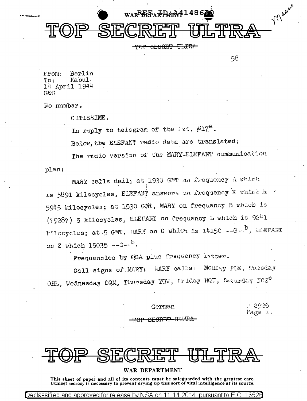

**SECRET ULTRA** محصصة

58

From: Berlin Kabul.  $To:$ 14 April 1944 GEO.

No number.

CITISSIME.

In reply to telegram of the 1st.  $\#17^{\mathbb{C}}$ .

Below, the ELEFANT radio data are translated:

The radio version of the MARY-ELEFANT communication

plan:

MARY calls daily at 1930 GMT an frequency A which is 5891 kilosycles, ELEFANT answers on frequency X which is 5945 kilocycles; at 1530 GMT, MARY on frequency B which is (?928?) 5 kilocycles, ELETANT on Crequency L which is 9241 kilocycles; at 5 GMT, MARY on C which is 14150 --G--<sup>b</sup>, ELEFANT on Z which  $15035 - -G - -^{D}$ .

Frequencies by GSA plus frequency latter.

 $\texttt{WARY}$  calls: Monday PLE, Tuesday Call-signs of MARY: OHL, Wednesday DQM, Thursday YGW, Friday HQU, Seturday NOZ<sup>C</sup>.

German

つひつら Mage l

<u>omapru</u>

#### WAR DEPARTMENT

This sheet of paper and all of its contents must be safeguarded with the greatest care. Utmost secrecy is necessary to prevent drying up this sort of vital intelligence at its source.

Declassified and approved for release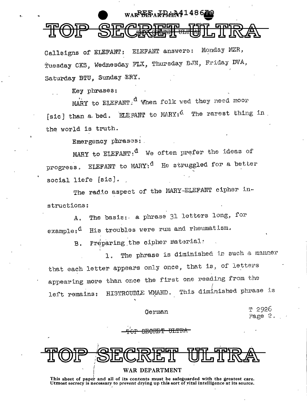## WARPER AR RARA 4486

Callsigns of EIEFANT: EIEFANT answers: Monday MZR, Tuesday CKS, Wednesday FLX, Thursday BJN, Friday DVA, Saturday BTU, Sunday ERY.

Key phrases:

MARY to ELEFANT.<sup>d</sup> When folk wed they need moor [sic] than a bed. ELEFANT to MARY:<sup>d.</sup> The rarest thing in the world is truth.

Emergency phrases:

MARY to ELEFANT:  $d$  We often prefer the ideas of ELEFANT to MARY;<sup>d</sup> He struggled for a better progress. social liefe [sic].

The radio aspect of the MARY-ELEFANT cipher instructions:

The basis: a phrase 31 letters long, for А. His troubles were rum and rheumatism.  $exam$ n $e_1$ d

> Preparing the cipher material:  $B<sub>1</sub>$

The phrase is diminished in such a manner  $\mathbf{1}$ . that each letter appears only once, that is, of letters appearing more than once the first one reading from the HISTROUBLE WMAND. This diminished phrase is left remains:

German

2926 Page 2.

<del>ARCINET ULI</del>

WAR DEPARTMENT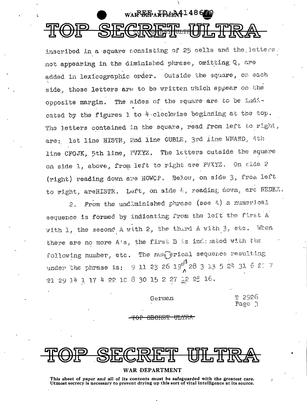# WARBEPARPMER4148670

inscribed in a square consisting of 25 cells and the letters. not appearing in the diminished phrase, omitting Q, are added in lexicographic order. Outside the square, on each side, those letters are to be written which appear on the opposite margin. The sides of the square are to be indicated by the figures 1 to 4 clockwise beginning at the top. The letters contained in the square, read from left to right, 1st line HISTR, 2nd line OUBLE, 3rd line WMAND, 4th are: line CFGJK, 5th line, PVXYZ. The letters outside the square on side 1, above, from left to right are PVXYZ. On side 2 (right) reading down are HOWCP. Below, on side 3, from left to right, areHISTR. Left, on side  $k$ , reading down, are REDKZ.

From the undlminished phrase (see 4) a numerical  $2.$ sequence is formed by indicating from the left the first A with 1, the second A with 2, the third A with 3, etc. Whon there are no more A's, the first B is indicated with the The num erical sequence resulting following number, etc.  $9$  11 23 26 19<sup>e</sup> 28 3 13 5 24 31 6 27 7 under the phrase is: 21 29 14 1 17 4 22 10 8 30 15 2 27 12 25 16.

German

T 2926 Page 3

#### WAR DEPARTMENT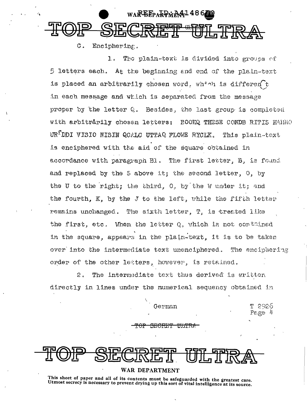### WAREEPARPMA4148670 UH TPRA

 $\sigma$ . Enciphering.

The plain-text is divided into groups of  $1<sup>1</sup>$ 5 letters each. At the beginning and end of the plain-text is placed an arbitrarily chosen word, which is different in each message and which is separated from the message proper by the letter Q. Besides, the last group is completed with arbitrarily chosen letters: BOOKQ THESE CONDB RITIS HARRO UR<sup>T</sup>DDI VISIO NISIN QCALC UTTAQ FLOWE RYCLK. This plain-text is enciphered with the ald of the square obtained in accordance with paragraph Bl. The first letter, B, is found and replaced by the 5 above it; the second letter, 0, by the U to the right; the third, O, by the W under it; and the fourth, K, by the J to the left, while the fifth letter remains unchanged. The sixth letter, T. is treated like the first, etc. When the letter Q. which is not contained in the square, appears in the plain-text, it is to be taken over into the intermediate text unenciphered. The encipeering order of the other letters, however, is retained.

 $\mathcal{P}_{\mathcal{P}}$ The intermediate text thus derived is written directly in lines under the numerical sequency obtained in

German

T 2926  $P$ *E*  $E$ <sup> $\uparrow$ </sup>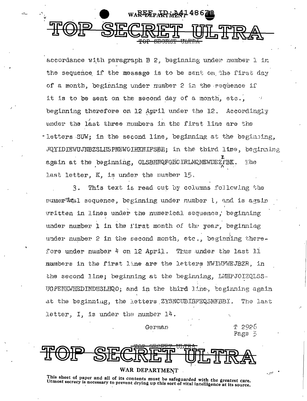

accordance with paragraph B 2, beginning under number 1 in the sequence if the message is to be sent on the first day of a month, beginning under number 2 in the sequence if it is to be sent on the second day of a month, etc., beginning therefore on 12 April under the 12. Accordingly under the last three mumbers in the flrst line are the -letters SUW; in the second line, beginning at the beginning, JQYIDIEWUJNBZSLHSPNEWOJHKNIFSBR; in the third line, beginning again at the beginning, OLSBHNQFGECIRLMQMEWDEZFBK. The last letter, K, is under the number 15.

This text is read out by columns following the 3. pumer<sup>a</sup>cal sequence, beginning under number l, and is again written in lines under the numerical sequence, beginning under number 1 in the first month of the year, beginning under number 2 in the second month, etc., beginning therefore under number 4 on 12 April. Thus under the last 11 numbers in the first line are the letters NWIWWEJBZR, in the second line; beginning at the beginning. LMHPJOIZQLSS. UGPENKWHEDINDHSLHQO; and in the third line, beginning again at the beginning, the letters ZYSNCUBIBFEQSMKBBI. The last letter,  $I$ , is under the number  $14$ .

German

T 2926 Page 5



#### WAR DEPARTMENT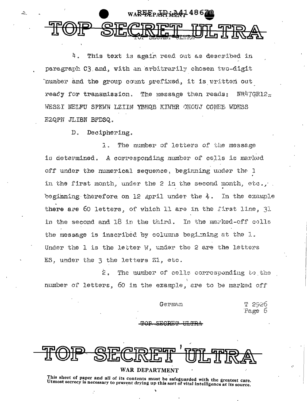

 $4.$ This text is again read out as described in paragraph C3 and, with an arbitrarily chosen two-digit number and the group count prefixed. it is written out  $NR47$ GR12 $=$ ready for transmission. The message then reads: WESZI NELFU SPKWN LZIIM YBHOR KIWHR OHOUJ CGMEE WDHSS EZQPN JLIBN BFDSQ.

> $D<sub>1</sub>$ Deciphering.

 $\Delta$ 

 $7.1$ The number of letters of the message is determined. A corresponding number of cells is marked off under the numerical sequence, beginning under the 1 in the first month, under the 2 in the second month, etc., . beginning therefore on 12 April under the  $4$ . In the example there are 60 letters, of which 11 are in the first line, 31 in the second and  $18$  in the third. In the marked-off cells the message is inscribed by columns begining at the l. Under the 1 is the letter W. under the 2 are the letters ES, under the 3 the letters Z1, etc.

 $\hat{z}$  . The number of cells corresponding to the number of letters, 60 in the example, are to be marked off

German

T 2926 Tage 6